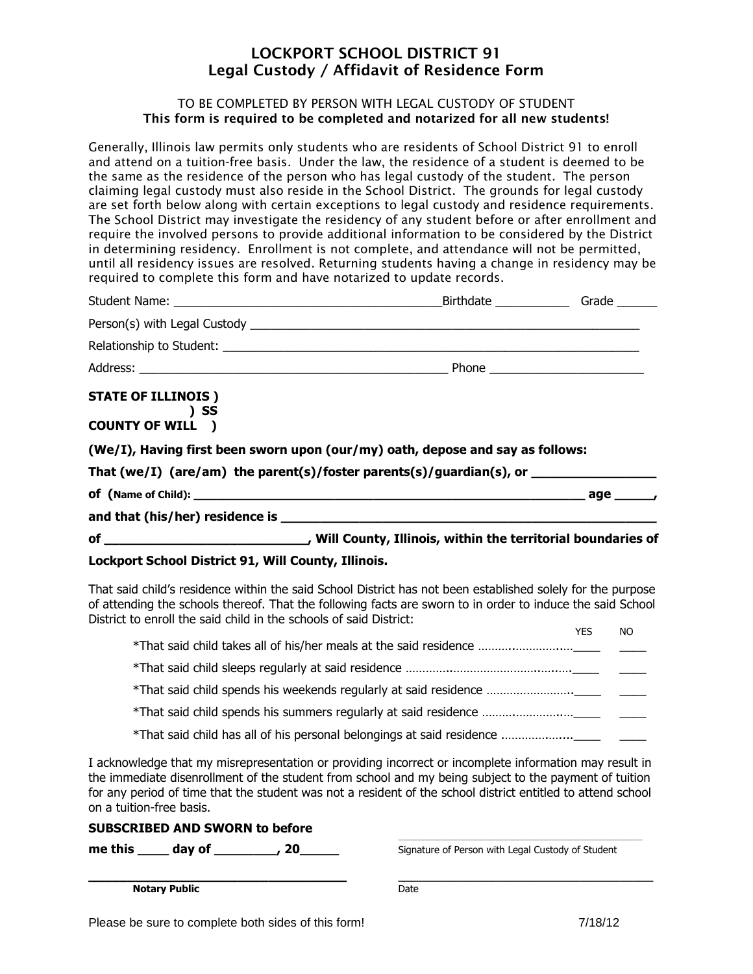# **LOCKPORT SCHOOL DISTRICT 91 Legal Custody / Affidavit of Residence Form**

#### TO BE COMPLETED BY PERSON WITH LEGAL CUSTODY OF STUDENT **This form is required to be completed and notarized for all new students!**

Generally, Illinois law permits only students who are residents of School District 91 to enroll and attend on a tuition-free basis. Under the law, the residence of a student is deemed to be the same as the residence of the person who has legal custody of the student. The person claiming legal custody must also reside in the School District. The grounds for legal custody are set forth below along with certain exceptions to legal custody and residence requirements. The School District may investigate the residency of any student before or after enrollment and require the involved persons to provide additional information to be considered by the District in determining residency. Enrollment is not complete, and attendance will not be permitted, until all residency issues are resolved. Returning students having a change in residency may be required to complete this form and have notarized to update records.

| <b>STATE OF ILLINOIS)</b><br>and the set of the set of the set of the set of the set of the set of the set of the set of the set of the set of the set of the set of the set of the set of the set of the set of the set of the set of the set of the set o<br><b>COUNTY OF WILL )</b> |                                                                                      |  |
|----------------------------------------------------------------------------------------------------------------------------------------------------------------------------------------------------------------------------------------------------------------------------------------|--------------------------------------------------------------------------------------|--|
|                                                                                                                                                                                                                                                                                        | (We/I), Having first been sworn upon (our/my) oath, depose and say as follows:       |  |
|                                                                                                                                                                                                                                                                                        | That (we/I) (are/am) the parent(s)/foster parents(s)/guardian(s), or $\qquad \qquad$ |  |
|                                                                                                                                                                                                                                                                                        |                                                                                      |  |
|                                                                                                                                                                                                                                                                                        |                                                                                      |  |
|                                                                                                                                                                                                                                                                                        |                                                                                      |  |
| Lockport School District 91, Will County, Illinois.                                                                                                                                                                                                                                    |                                                                                      |  |

That said child's residence within the said School District has not been established solely for the purpose of attending the schools thereof. That the following facts are sworn to in order to induce the said School District to enroll the said child in the schools of said District:

|  | YES | NO. |
|--|-----|-----|
|  |     |     |
|  |     |     |
|  |     |     |
|  |     |     |
|  |     |     |

I acknowledge that my misrepresentation or providing incorrect or incomplete information may result in the immediate disenrollment of the student from school and my being subject to the payment of tuition for any period of time that the student was not a resident of the school district entitled to attend school on a tuition-free basis.

\_\_\_\_\_\_\_\_\_\_\_\_\_\_\_\_\_\_\_\_\_\_\_\_\_\_\_\_\_\_\_\_\_\_\_\_\_\_\_\_\_\_\_\_\_\_\_\_\_\_\_\_\_\_\_\_\_\_\_\_\_\_\_\_\_\_\_\_\_\_\_\_\_\_\_\_\_\_\_\_\_\_\_\_\_\_\_\_\_\_\_

#### **SUBSCRIBED AND SWORN to before**

**me this \_\_\_\_\_ day of \_\_\_\_\_\_\_\_\_, 20\_\_\_\_\_\_\_** Signature of Person with Legal Custody of Student

**\_\_\_\_\_\_\_\_\_\_\_\_\_\_\_\_\_\_\_\_\_\_\_\_\_\_\_\_\_\_\_\_\_** \_\_\_\_\_\_\_\_\_\_\_\_\_\_\_\_\_\_\_\_\_\_\_\_\_\_\_\_\_\_\_\_\_\_\_\_\_\_ **Notary Public** Date **Date**